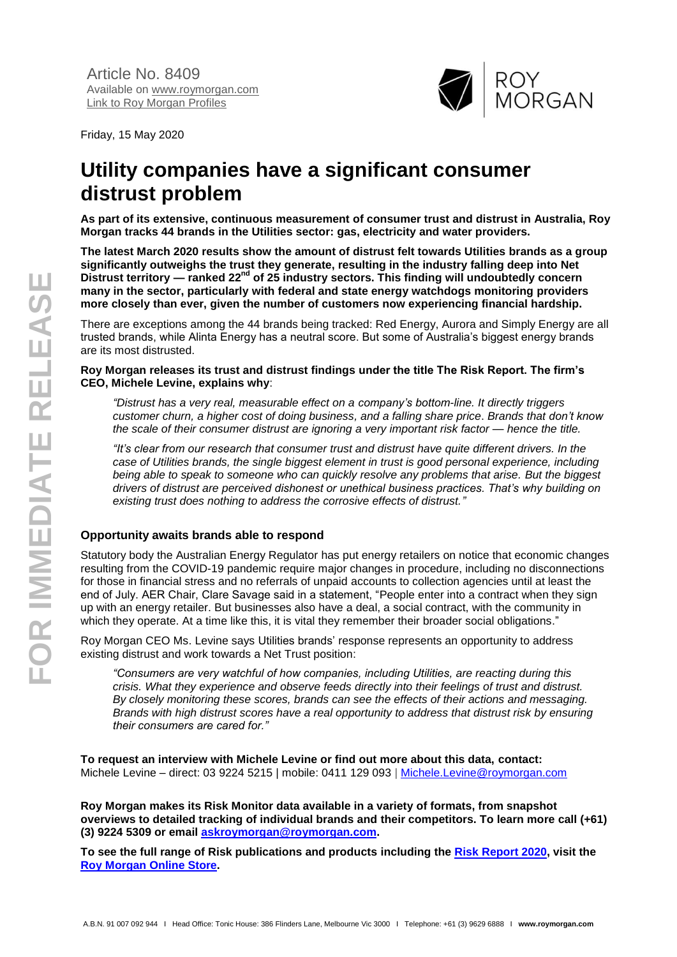

Friday, 15 May 2020

## **Utility companies have a significant consumer distrust problem**

**As part of its extensive, continuous measurement of consumer trust and distrust in Australia, Roy Morgan tracks 44 brands in the Utilities sector: gas, electricity and water providers.** 

**The latest March 2020 results show the amount of distrust felt towards Utilities brands as a group significantly outweighs the trust they generate, resulting in the industry falling deep into Net Distrust territory — ranked 22nd of 25 industry sectors. This finding will undoubtedly concern many in the sector, particularly with federal and state energy watchdogs monitoring providers more closely than ever, given the number of customers now experiencing financial hardship.** 

There are exceptions among the 44 brands being tracked: Red Energy, Aurora and Simply Energy are all trusted brands, while Alinta Energy has a neutral score. But some of Australia's biggest energy brands are its most distrusted.

**Roy Morgan releases its trust and distrust findings under the title The Risk Report. The firm's CEO, Michele Levine, explains why**:

*"Distrust has a very real, measurable effect on a company's bottom-line. It directly triggers customer churn, a higher cost of doing business, and a falling share price*. *Brands that don't know the scale of their consumer distrust are ignoring a very important risk factor — hence the title.*

*"It's clear from our research that consumer trust and distrust have quite different drivers. In the case of Utilities brands, the single biggest element in trust is good personal experience, including being able to speak to someone who can quickly resolve any problems that arise. But the biggest drivers of distrust are perceived dishonest or unethical business practices. That's why building on existing trust does nothing to address the corrosive effects of distrust."*

## **Opportunity awaits brands able to respond**

Statutory body the Australian Energy Regulator has put energy retailers on notice that economic changes resulting from the COVID-19 pandemic require major changes in procedure, including no disconnections for those in financial stress and no referrals of unpaid accounts to collection agencies until at least the end of July. AER Chair, Clare Savage said in a statement, "People enter into a contract when they sign up with an energy retailer. But businesses also have a deal, a social contract, with the community in which they operate. At a time like this, it is vital they remember their broader social obligations."

Roy Morgan CEO Ms. Levine says Utilities brands' response represents an opportunity to address existing distrust and work towards a Net Trust position:

*"Consumers are very watchful of how companies, including Utilities, are reacting during this crisis. What they experience and observe feeds directly into their feelings of trust and distrust. By closely monitoring these scores, brands can see the effects of their actions and messaging. Brands with high distrust scores have a real opportunity to address that distrust risk by ensuring their consumers are cared for."*

**To request an interview with Michele Levine or find out more about this data, contact:** Michele Levine – direct: 03 9224 5215 | mobile: 0411 129 093 | [Michele.Levine@roymorgan.com](about:blank)

**Roy Morgan makes its Risk Monitor data available in a variety of formats, from snapshot overviews to detailed tracking of individual brands and their competitors. To learn more call (+61) (3) 9224 5309 or email [askroymorgan@roymorgan.com.](about:blank)**

**To see the full range of Risk publications and products including the [Risk Report 2020,](https://store.roymorgan.com/product/Roy-Morgan-Risk-Report-13634) visit the [Roy Morgan Online Store.](https://store.roymorgan.com/products?keyword=risk)**